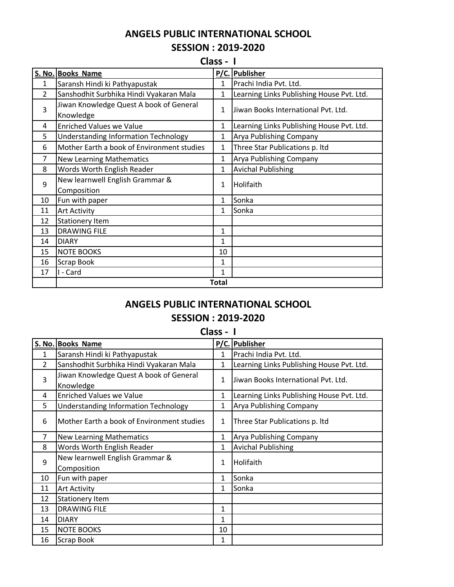## **ANGELS PUBLIC INTERNATIONAL SCHOOL SESSION : 2019-2020**

**Class - I**

|                | S. No. Books Name                                    |              | P/C. Publisher                            |
|----------------|------------------------------------------------------|--------------|-------------------------------------------|
| $\mathbf{1}$   | Saransh Hindi ki Pathyapustak                        | 1            | Prachi India Pvt. Ltd.                    |
| $\overline{2}$ | Sanshodhit Surbhika Hindi Vyakaran Mala              | $\mathbf{1}$ | Learning Links Publishing House Pvt. Ltd. |
| 3              | Jiwan Knowledge Quest A book of General<br>Knowledge | $\mathbf{1}$ | Uiwan Books International Pvt. Ltd.       |
| 4              | <b>Enriched Values we Value</b>                      | $\mathbf{1}$ | Learning Links Publishing House Pvt. Ltd. |
| 5              | <b>Understanding Information Technology</b>          | 1            | Arya Publishing Company                   |
| 6              | Mother Earth a book of Environment studies           | 1            | Three Star Publications p. Itd            |
| 7              | <b>New Learning Mathematics</b>                      | 1            | Arya Publishing Company                   |
| 8              | Words Worth English Reader                           | $\mathbf{1}$ | <b>Avichal Publishing</b>                 |
| 9              | New learnwell English Grammar &<br>Composition       | 1            | Holifaith                                 |
| 10             | Fun with paper                                       | 1            | Sonka                                     |
| 11             | <b>Art Activity</b>                                  | $\mathbf{1}$ | Sonka                                     |
| 12             | <b>Stationery Item</b>                               |              |                                           |
| 13             | <b>DRAWING FILE</b>                                  | 1            |                                           |
| 14             | <b>DIARY</b>                                         | 1            |                                           |
| 15             | <b>NOTE BOOKS</b>                                    | 10           |                                           |
| 16             | Scrap Book                                           | 1            |                                           |
| 17             | I - Card                                             | $\mathbf{1}$ |                                           |
|                | <b>Total</b>                                         |              |                                           |

## **ANGELS PUBLIC INTERNATIONAL SCHOOL SESSION : 2019-2020**

|                |                                                      | Class - I    |                                           |
|----------------|------------------------------------------------------|--------------|-------------------------------------------|
|                | S. No. Books Name                                    |              | P/C. Publisher                            |
| $\mathbf{1}$   | Saransh Hindi ki Pathyapustak                        | $\mathbf{1}$ | Prachi India Pvt. Ltd.                    |
| $\overline{2}$ | Sanshodhit Surbhika Hindi Vyakaran Mala              | $\mathbf{1}$ | Learning Links Publishing House Pvt. Ltd. |
| 3              | Jiwan Knowledge Quest A book of General<br>Knowledge | $\mathbf{1}$ | Jiwan Books International Pvt. Ltd.       |
| 4              | <b>Enriched Values we Value</b>                      | 1            | Learning Links Publishing House Pvt. Ltd. |
| 5              | <b>Understanding Information Technology</b>          | 1            | Arya Publishing Company                   |
| 6              | Mother Earth a book of Environment studies           | $\mathbf 1$  | Three Star Publications p. Itd            |
| $\overline{7}$ | <b>New Learning Mathematics</b>                      | $\mathbf{1}$ | Arya Publishing Company                   |
| 8              | Words Worth English Reader                           | $\mathbf{1}$ | <b>Avichal Publishing</b>                 |
| 9              | New learnwell English Grammar &<br>Composition       | $\mathbf{1}$ | Holifaith                                 |
| 10             | Fun with paper                                       | 1            | Sonka                                     |
| 11             | <b>Art Activity</b>                                  | 1            | Sonka                                     |
| 12             | <b>Stationery Item</b>                               |              |                                           |
| 13             | <b>DRAWING FILE</b>                                  | 1            |                                           |
| 14             | <b>DIARY</b>                                         | 1            |                                           |
| 15             | <b>NOTE BOOKS</b>                                    | 10           |                                           |
| 16             | <b>Scrap Book</b>                                    | 1            |                                           |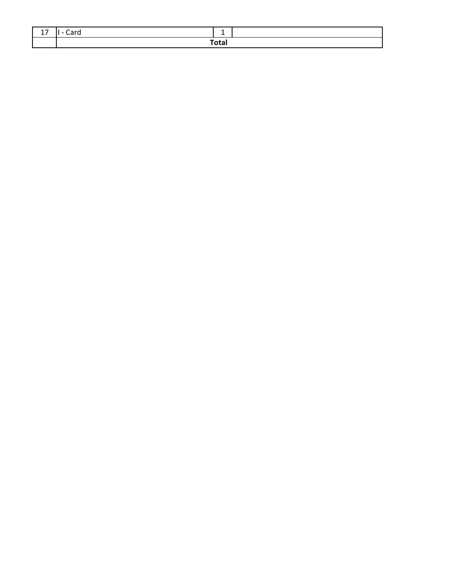| - | . | -     |  |
|---|---|-------|--|
|   |   | Totar |  |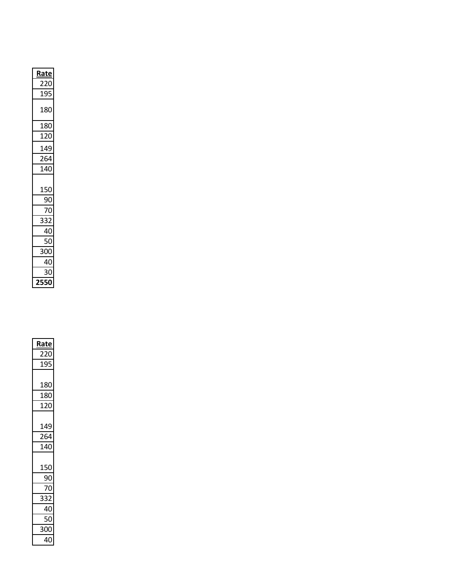| <u>Rate</u> |  |
|-------------|--|
| 220         |  |
| 195         |  |
| 180         |  |
| 180         |  |
| 120         |  |
| 149         |  |
| 264         |  |
| 140         |  |
| 150         |  |
| 90          |  |
| 70          |  |
| 332         |  |
| 40          |  |
| 50          |  |
| 300         |  |
| 40          |  |
| 30          |  |
| 2550        |  |

| <u>Rate</u>     |  |
|-----------------|--|
| 220             |  |
| 195             |  |
|                 |  |
| 180             |  |
| 180             |  |
| 120             |  |
|                 |  |
| 149             |  |
| 264             |  |
| 140             |  |
|                 |  |
| 150             |  |
| 90              |  |
| $\overline{70}$ |  |
| 332             |  |
| $\frac{40}{50}$ |  |
|                 |  |
| 300             |  |
| 40              |  |